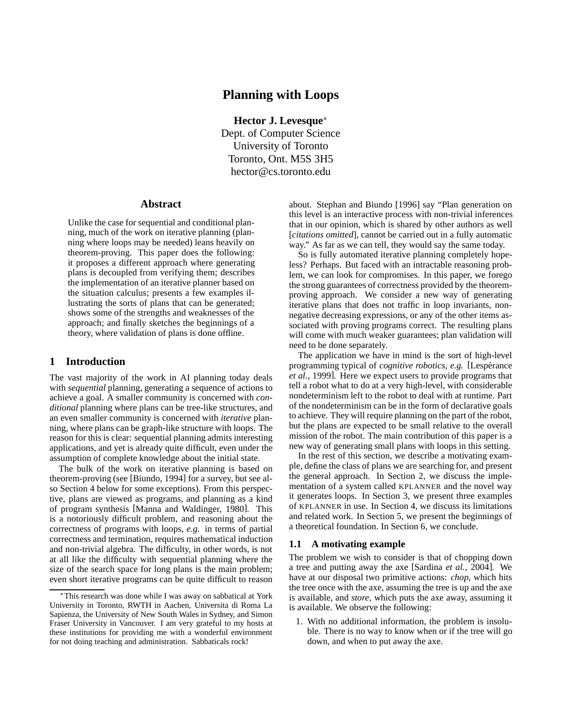# **Planning with Loops**

**Hector J. Levesque** Dept. of Computer Science University of Toronto Toronto, Ont. M5S 3H5 hector@cs.toronto.edu

#### **Abstract**

Unlike the case for sequential and conditional planning, much of the work on iterative planning (planning where loops may be needed) leans heavily on theorem-proving. This paper does the following: it proposes a different approach where generating plans is decoupled from verifying them; describes the implementation of an iterative planner based on the situation calculus; presents a few examples illustrating the sorts of plans that can be generated; shows some of the strengths and weaknesses of the approach; and finally sketches the beginnings of a theory, where validation of plans is done offline.

#### **1 Introduction**

The vast majority of the work in AI planning today deals with *sequential* planning, generating a sequence of actions to achieve a goal. A smaller community is concerned with *conditional* planning where plans can be tree-like structures, and an even smaller community is concerned with *iterative* planning, where plans can be graph-like structure with loops. The reason for this is clear: sequential planning admits interesting applications, and yet is already quite difficult, even under the assumption of complete knowledge about the initial state.

The bulk of the work on iterative planning is based on theorem-proving (see [Biundo, 1994] for a survey, but see also Section 4 below for some exceptions). From this perspective, plans are viewed as programs, and planning as a kind of program synthesis [Manna and Waldinger, 1980]. This is a notoriously difficult problem, and reasoning about the correctness of programs with loops, *e.g.* in terms of partial correctness and termination, requires mathematical induction and non-trivial algebra. The difficulty, in other words, is not at all like the difficulty with sequential planning where the size of the search space for long plans is the main problem; even short iterative programs can be quite difficult to reason about. Stephan and Biundo [1996] say "Plan generation on this level is an interactive process with non-trivial inferences that in our opinion, which is shared by other authors as well [*citations omitted*], cannot be carried out in a fully automatic way." As far as we can tell, they would say the same today.

So is fully automated iterative planning completely hopeless? Perhaps. But faced with an intractable reasoning problem, we can look for compromises. In this paper, we forego the strong guarantees of correctness provided by the theoremproving approach. We consider a new way of generating iterative plans that does not traffic in loop invariants, nonnegative decreasing expressions, or any of the other items associated with proving programs correct. The resulting plans will come with much weaker guarantees; plan validation will need to be done separately.

The application we have in mind is the sort of high-level programming typical of *cognitive robotics*, *e.g.* [Lespérance] *et al.*, 1999]. Here we expect users to provide programs that tell a robot what to do at a very high-level, with considerable nondeterminism left to the robot to deal with at runtime. Part of the nondeterminism can be in the form of declarative goals to achieve. They will require planning on the part of the robot, but the plans are expected to be small relative to the overall mission of the robot. The main contribution of this paper is a new way of generating small plans with loops in this setting.

In the rest of this section, we describe a motivating example, define the class of plans we are searching for, and present the general approach. In Section 2, we discuss the implementation of a system called KPLANNER and the novel way it generates loops. In Section 3, we present three examples of KPLANNER in use. In Section 4, we discuss its limitations and related work. In Section 5, we present the beginnings of a theoretical foundation. In Section 6, we conclude.

#### **1.1 A motivating example**

The problem we wish to consider is that of chopping down a tree and putting away the axe [Sardina *et al.*, 2004]. We have at our disposal two primitive actions: *chop*, which hits the tree once with the axe, assuming the tree is up and the axe is available, and *store*, which puts the axe away, assuming it is available. We observe the following:

1. With no additional information, the problem is insoluble. There is no way to know when or if the tree will go down, and when to put away the axe.

This research was done while I was away on sabbatical at York University in Toronto, RWTH in Aachen, Universita di Roma La Sapienza, the University of New South Wales in Sydney, and Simon Fraser University in Vancouver. I am very grateful to my hosts at these institutions for providing me with a wonderful environment for not doing teaching and administration. Sabbaticals rock!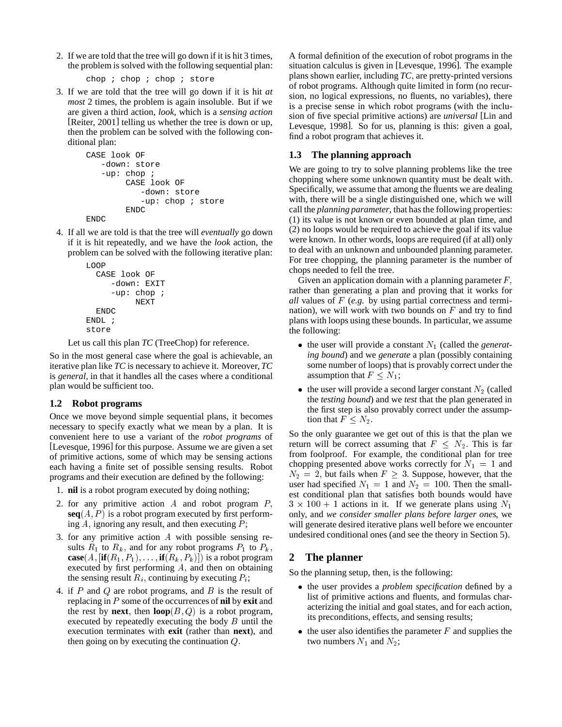2. If we are told that the tree will go down if it is hit 3 times, the problem is solved with the following sequential plan:

```
chop ; chop ; chop ; store
```
3. If we are told that the tree will go down if it is hit *at most* 2 times, the problem is again insoluble. But if we are given a third action, *look*, which is a *sensing action* [Reiter, 2001] telling us whether the tree is down or up, then the problem can be solved with the following conditional plan:

```
CASE look OF
   -down: store
   -up: chop ;
        CASE look OF
           -down: store
           -up: chop ; store
        ENDC
ENDC
```
4. If all we are told is that the tree will *eventually* go down if it is hit repeatedly, and we have the *look* action, the problem can be solved with the following iterative plan:

```
LOOP
  CASE look OF
     -down: EXIT
     -up: chop ;
          NEXT
  ENDC
ENDL ;
store
```
Let us call this plan *TC* (TreeChop) for reference.

So in the most general case where the goal is achievable, an iterative plan like *TC* is necessary to achieve it. Moreover, *TC* is *general*, in that it handles all the cases where a conditional plan would be sufficient too.

# **1.2 Robot programs**

Once we move beyond simple sequential plans, it becomes necessary to specify exactly what we mean by a plan. It is convenient here to use a variant of the *robot programs* of [Levesque, 1996] for this purpose. Assume we are given a set of primitive actions, some of which may be sensing actions each having a finite set of possible sensing results. Robot programs and their execution are defined by the following:

- 1. **nil** is a robot program executed by doing nothing;
- 2. for any primitive action  $A$  and robot program  $P$ ,  $seq(A, P)$  is a robot program executed by first performing  $A$ , ignoring any result, and then executing  $P$ ;
- 3. for any primitive action <sup>A</sup> with possible sensing results  $R_1$  to  $R_k$ , and for any robot programs  $P_1$  to  $P_k$ ,  $\textbf{case}(A, [\textbf{if}(R_1, P_1), \ldots, \textbf{if}(R_k, P_k)])$  is a robot program executed by first performing  $A$ , and then on obtaining the sensing result  $R_i$ , continuing by executing  $P_i$ ;
- 4. if  $P$  and  $Q$  are robot programs, and  $B$  is the result of replacing in P some of the occurrences of **nil** by **exit** and the rest by **next**, then  $\textbf{loop}(B, Q)$  is a robot program, executed by repeatedly executing the body  $B$  until the execution terminates with **exit** (rather than **next**), and then going on by executing the continuation  $Q$ .

A formal definition of the execution of robot programs in the situation calculus is given in [Levesque, 1996]. The example plans shown earlier, including *TC*; are pretty-printed versions of robot programs. Although quite limited in form (no recursion, no logical expressions, no fluents, no variables), there is a precise sense in which robot programs (with the inclusion of five special primitive actions) are *universal* [Lin and Levesque, 1998]. So for us, planning is this: given a goal, find a robot program that achieves it.

# **1.3 The planning approach**

We are going to try to solve planning problems like the tree chopping where some unknown quantity must be dealt with. Specifically, we assume that among the fluents we are dealing with, there will be a single distinguished one, which we will call the *planning parameter*, that has the following properties: (1) its value is not known or even bounded at plan time, and (2) no loops would be required to achieve the goal if its value were known. In other words, loops are required (if at all) only to deal with an unknown and unbounded planning parameter. For tree chopping, the planning parameter is the number of chops needed to fell the tree.

Given an application domain with a planning parameter  $F$ , rather than generating a plan and proving that it works for *all* values of F (*e.g.* by using partial correctness and termination), we will work with two bounds on  $F$  and try to find plans with loops using these bounds. In particular, we assume the following:

- $\bullet$  the user will provide a constant  $N_1$  (called the *generating bound*) and we *generate* a plan (possibly containing some number of loops) that is provably correct under the assumption that  $F \leq N_1$ ;
- $\bullet$  the user will provide a second larger constant  $N_2$  (called the *testing bound*) and we *test* that the plan generated in the first step is also provably correct under the assumption that  $F \leq N_2$ .

So the only guarantee we get out of this is that the plan we return will be correct assuming that  $F \leq N_2$ . This is far from foolproof. For example, the conditional plan for tree chopping presented above works correctly for  $N_1 = 1$  and  $N_2 = 2$ , but fails when  $F \geq 3$ . Suppose, however, that the user had specified  $N_1 = 1$  and  $N_2 = 100$ . Then the smallest conditional plan that satisfies both bounds would have  $3 \times 100 + 1$  actions in it. If we generate plans using  $N_1$ only, and *we consider smaller plans before larger ones*, we will generate desired iterative plans well before we encounter undesired conditional ones (and see the theory in Section 5).

# **2 The planner**

So the planning setup, then, is the following:

- the user provides a *problem specification* defined by a list of primitive actions and fluents, and formulas characterizing the initial and goal states, and for each action, its preconditions, effects, and sensing results;
- $\bullet$  the user also identifies the parameter  $F$  and supplies the two numbers  $N_1$  and  $N_2$ ;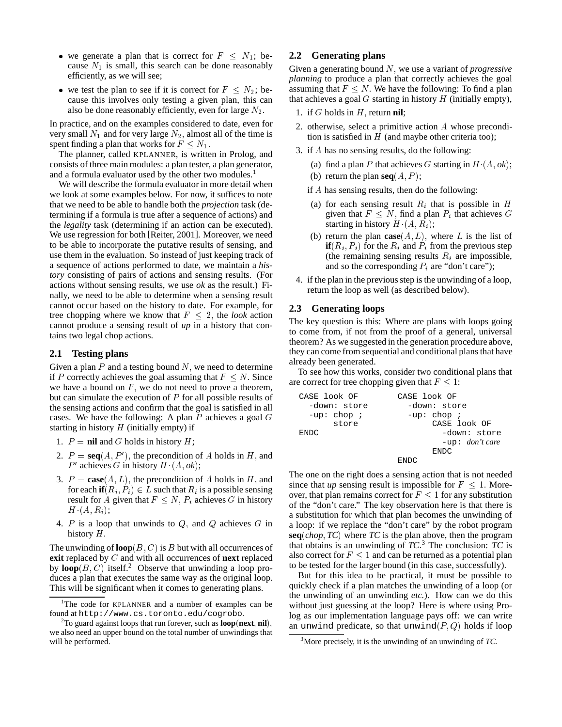- we generate a plan that is correct for  $F \n\leq N_1$ ; because  $N_1$  is small, this search can be done reasonably efficiently, as we will see;
- we test the plan to see if it is correct for  $F \leq N_2$ ; because this involves only testing a given plan, this can also be done reasonably efficiently, even for large  $N_2$ .

In practice, and on the examples considered to date, even for very small  $N_1$  and for very large  $N_2$ , almost all of the time is spent finding a plan that works for  $F \leq N_1$ .

The planner, called KPLANNER, is written in Prolog, and consists of three main modules: a plan tester, a plan generator, and a formula evaluator used by the other two modules.<sup>1</sup>

We will describe the formula evaluator in more detail when we look at some examples below. For now, it suffices to note that we need to be able to handle both the *projection* task (determining if a formula is true after a sequence of actions) and the *legality* task (determining if an action can be executed). We use regression for both [Reiter, 2001]. Moreover, we need to be able to incorporate the putative results of sensing, and use them in the evaluation. So instead of just keeping track of a sequence of actions performed to date, we maintain a *history* consisting of pairs of actions and sensing results. (For actions without sensing results, we use *ok* as the result.) Finally, we need to be able to determine when a sensing result cannot occur based on the history to date. For example, for tree chopping where we know that  $F \leq 2$ , the *look* action cannot produce a sensing result of *up* in a history that contains two legal chop actions.

#### **2.1 Testing plans**

Given a plan  $P$  and a testing bound  $N$ , we need to determine if P correctly achieves the goal assuming that  $F \leq N$ . Since we have a bound on  $F$ , we do not need to prove a theorem, but can simulate the execution of  $P$  for all possible results of the sensing actions and confirm that the goal is satisfied in all cases. We have the following: A plan  $P$  achieves a goal  $G$ starting in history  $H$  (initially empty) if

- 1.  $P = \textbf{nil}$  and G holds in history  $H$ ;
- 2.  $P = \text{seq}(A, P')$ , the precondition of A holds in H, and  $P'$  achieves G in history  $H(A, ok);$
- 3.  $P = \text{case}(A, L)$ , the precondition of A holds in H, and for each **if** $(R_i, P_i) \in L$  such that  $R_i$  is a possible sensing result for A given that  $F \leq N$ ,  $P_i$  achieves G in history  $H^{\dagger}(A, R_i);$
- 4.  $P$  is a loop that unwinds to  $Q$ , and  $Q$  achieves  $G$  in history  $H$ .

The unwinding of  $\textbf{loop}(B, C)$  is B but with all occurrences of **exit** replaced by <sup>C</sup> and with all occurrences of **next** replaced by  $\textbf{loop}(B, C)$  itself.<sup>2</sup> Observe that unwinding a loop produces a plan that executes the same way as the original loop. This will be significant when it comes to generating plans.

#### **2.2 Generating plans**

Given a generating bound N, we use a variant of *progressive planning* to produce a plan that correctly achieves the goal assuming that  $F \leq N$ . We have the following: To find a plan that achieves a goal  $G$  starting in history  $H$  (initially empty),

- 1. if  $G$  holds in  $H$ , return **nil**;
- 2. otherwise, select a primitive action <sup>A</sup> whose precondition is satisfied in  $H$  (and maybe other criteria too);
- 3. if <sup>A</sup> has no sensing results, do the following:

(b) return the plan  $seq(A, P)$ ;

- (a) find a plan P that achieves G starting in  $H(A, ok)$ ;
- if <sup>A</sup> has sensing results, then do the following:
- (a) for each sensing result  $R_i$  that is possible in H given that  $F \leq N$ , find a plan  $P_i$  that achieves G starting in history  $H(A, R<sub>i</sub>)$ ;
- (b) return the plan  $\textbf{case}(A, L)$ , where L is the list of **if**( $R_i$ ,  $P_i$ ) for the  $R_i$  and  $P_i$  from the previous step (the remaining sensing results  $R_i$  are impossible, and so the corresponding  $P_i$  are "don't care");
- 4. if the plan in the previous step is the unwinding of a loop, return the loop as well (as described below).

#### **2.3 Generating loops**

The key question is this: Where are plans with loops going to come from, if not from the proof of a general, universal theorem? As we suggested in the generation procedure above, they can come from sequential and conditional plans that have already been generated.

To see how this works, consider two conditional plans that are correct for tree chopping given that  $F < 1$ :

| CASE look OF  | CASE look OF              |  |  |
|---------------|---------------------------|--|--|
| -down: store  | -down: store              |  |  |
| $-up: chop :$ | $-up: chop;$              |  |  |
| store         | CASE look OF              |  |  |
| <b>ENDC</b>   | -down: store              |  |  |
|               | $-$ up: <i>don't care</i> |  |  |
|               | <b>ENDC</b>               |  |  |
|               | <b>ENDA</b>               |  |  |

The one on the right does a sensing action that is not needed since that *up* sensing result is impossible for  $F \leq 1$ . Moreover, that plan remains correct for  $F \leq 1$  for any substitution of the "don't care." The key observation here is that there is a substitution for which that plan becomes the unwinding of a loop: if we replace the "don't care" by the robot program **seq**(*chop*; *TC*) where *TC* is the plan above, then the program that obtains is an unwinding of  $TC^3$  The conclusion:  $TC$  is also correct for  $F \leq 1$  and can be returned as a potential plan to be tested for the larger bound (in this case, successfully).

But for this idea to be practical, it must be possible to quickly check if a plan matches the unwinding of a loop (or the unwinding of an unwinding *etc.*). How can we do this without just guessing at the loop? Here is where using Prolog as our implementation language pays off: we can write an unwind predicate, so that unwind $(P, Q)$  holds if loop

<sup>&</sup>lt;sup>1</sup>The code for KPLANNER and a number of examples can be found at http://www.cs.toronto.edu/cogrobo.

<sup>2</sup> To guard against loops that run forever, such as **loop**(**next**; **nil**); we also need an upper bound on the total number of unwindings that will be performed.

<sup>3</sup> More precisely, it is the unwinding of an unwinding of *TC*: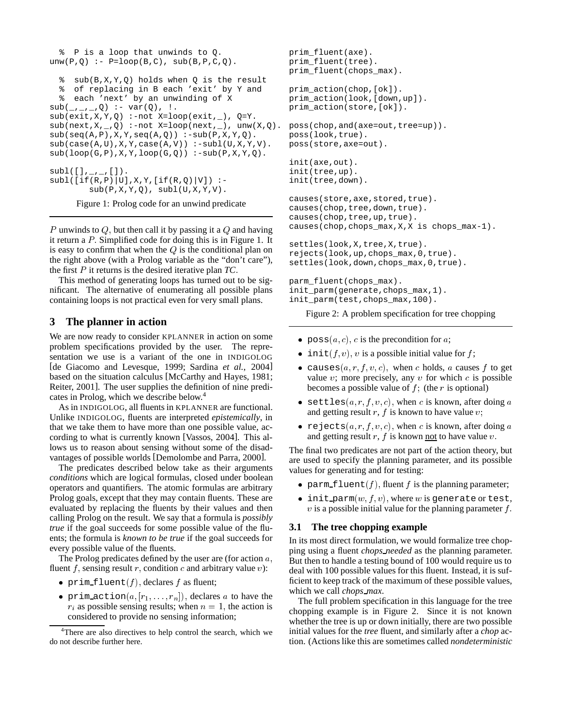```
% P is a loop that unwinds to Q.
unw(P,Q) :- P = loop(B,C), sub(B,P,C,Q).
  % sub(B,X,Y,Q) holds when Q is the result
  % of replacing in B each 'exit' by Y and
  % each 'next' by an unwinding of X
\texttt{sub}(\_,\_,\_,\mathbb{Q}) \ \coloneqq \ \texttt{var}(\mathbb{Q}) \ , \ \bot.sub(exit,X,Y,Q) :-not X=loop(exit, ), Q=Y.
sub(next,X,-,Q) :-not X=loop(next, ), unw(X,Q).
sub(seq(A,P),X,Y,seq(A,Q)) :-sub(P,X,Y,Q).
sub(case(A,U), X, Y, case(A,V)):-subl(U,X,Y,V).
sub(loop(G, P), X, Y, loop(G, Q)) :-sub(P,X,Y,Q).
sub1([],_,\_,[]).
subl([if(R,P)|U],X,Y,[if(R,Q)|V]) :-
         sub(P,X,Y,Q), subI(U,X,Y,V).
```
Figure 1: Prolog code for an unwind predicate

P unwinds to Q, but then call it by passing it a Q and having it return a  $P$ . Simplified code for doing this is in Figure 1. It is easy to confirm that when the  $Q$  is the conditional plan on the right above (with a Prolog variable as the "don't care"), the first <sup>P</sup> it returns is the desired iterative plan *TC*:

This method of generating loops has turned out to be significant. The alternative of enumerating all possible plans containing loops is not practical even for very small plans.

### **3 The planner in action**

We are now ready to consider KPLANNER in action on some problem specifications provided by the user. The representation we use is a variant of the one in INDIGOLOG [de Giacomo and Levesque, 1999; Sardina *et al.*, 2004] based on the situation calculus [McCarthy and Hayes, 1981; Reiter, 2001]. The user supplies the definition of nine predicates in Prolog, which we describe below.<sup>4</sup>

As in INDIGOLOG, all fluents in KPLANNER are functional. Unlike INDIGOLOG, fluents are interpreted *epistemically*, in that we take them to have more than one possible value, according to what is currently known [Vassos, 2004]. This allows us to reason about sensing without some of the disadvantages of possible worlds [Demolombe and Parra, 2000].

The predicates described below take as their arguments *conditions* which are logical formulas, closed under boolean operators and quantifiers. The atomic formulas are arbitrary Prolog goals, except that they may contain fluents. These are evaluated by replacing the fluents by their values and then calling Prolog on the result. We say that a formula is *possibly true* if the goal succeeds for some possible value of the fluents; the formula is *known to be true* if the goal succeeds for every possible value of the fluents.

The Prolog predicates defined by the user are (for action  $a$ , fluent f, sensing result r, condition c and arbitrary value  $v$ ):

- prim  $fluent(f)$ , declares f as fluent;
- prim action $(a, [r_1, \ldots, r_n])$ , declares a to have the  $r_i$  as possible sensing results; when  $n = 1$ , the action is considered to provide no sensing information;

```
prim_fluent(axe).
prim_fluent(tree).
prim_fluent(chops_max).
prim_action(chop,[ok]).
prim_action(look,[down,up]).
prim_action(store,[ok]).
poss(chop, and(axe=out, tree=up)).
poss(look,true).
poss(store,axe=out).
init(axe,out).
init(tree,up).
init(tree,down).
causes(store,axe,stored,true).
causes(chop, tree, down, true).
causes(chop,tree,up,true).
causes(chop,chops_max,X,X is chops_max-1).
settles(look,X,tree,X,true).
rejects(look,up,chops_max,0,true).
settles(look,down,chops_max,0,true).
parm_fluent(chops_max).
init_parm(generate,chops_max,1).
init_parm(test,chops_max,100).
```
Figure 2: A problem specification for tree chopping

- poss $(a, c)$ , c is the precondition for a;
- init( $f, v$ ), v is a possible initial value for  $f$ ;
- causes  $(a, r, f, v, c)$ , when c holds, a causes f to get value  $v$ ; more precisely, any  $v$  for which  $c$  is possible becomes a possible value of  $f$ ; (the r is optional)
- settles $(a, r, f, v, c)$ , when c is known, after doing a and getting result r,  $f$  is known to have value  $v$ ;
- rejects $(a, r, f, v, c)$ , when c is known, after doing a and getting result  $r$ ,  $f$  is known <u>not</u> to have value  $v$ .

The final two predicates are not part of the action theory, but are used to specify the planning parameter, and its possible values for generating and for testing:

- parm  $f$ luent $(f)$ , fluent f is the planning parameter;
- $\bullet$  init parm $(w, f, v)$ , where w is generate or test,  $v$  is a possible initial value for the planning parameter  $f$ .

### **3.1 The tree chopping example**

In its most direct formulation, we would formalize tree chopping using a fluent *chops needed* as the planning parameter. But then to handle a testing bound of 100 would require us to deal with 100 possible values for this fluent. Instead, it is sufficient to keep track of the maximum of these possible values, which we call *chops max*.

The full problem specification in this language for the tree chopping example is in Figure 2. Since it is not known whether the tree is up or down initially, there are two possible initial values for the *tree* fluent, and similarly after a *chop* action. (Actions like this are sometimes called *nondeterministic*

<sup>&</sup>lt;sup>4</sup>There are also directives to help control the search, which we do not describe further here.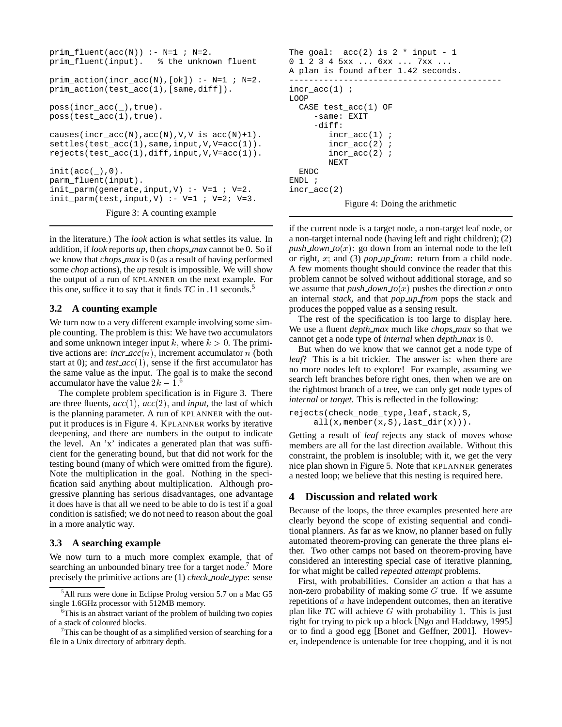```
prim_fluent(acc(N)) :- N=1 ; N=2.
prim_fluent(input). % the unknown fluent
prim_action(incr_acc(N),[ok]) :- N=1 ; N=2.
prim_action(test_acc(1),[same,diff]).
poss(incr_acc(_),true).
poss(test_acc(1),true).
causes(incr_acc(N), acc(N), V, V is acc(N)+1).
settles(test_acc(1), same, input, V, V=acc(1)).
rejects(test_acc(1),diff,input,V,V=acc(1)).
init(acc(\_),0).
parm_fluent(input).
init\_param(generate, input, V) :- V=1 : V=2.init\_param(test, input, V) :- V=1 ; V=2 ; V=3.Figure 3: A counting example
```
in the literature.) The *look* action is what settles its value. In addition, if *look* reports *up*, then *chops max* cannot be 0. So if we know that *chops max* is 0 (as a result of having performed some *chop* actions), the *up* result is impossible. We will show the output of a run of KPLANNER on the next example. For this one, suffice it to say that it finds *TC* in .11 seconds.<sup>5</sup>

### **3.2 A counting example**

We turn now to a very different example involving some simple counting. The problem is this: We have two accumulators and some unknown integer input k, where  $k > 0$ . The primitive actions are:  $\text{incr}\text{-}acc(n)$ , increment accumulator n (both start at 0); and  $test\_acc(1)$ , sense if the first accumulator has the same value as the input. The goal is to make the second accumulator have the value  $2k - 1$ .<sup>6</sup>

The complete problem specification is in Figure 3. There are three fluents,  $acc(1)$ ,  $acc(2)$ , and *input*, the last of which is the planning parameter. A run of KPLANNER with the output it produces is in Figure 4. KPLANNER works by iterative deepening, and there are numbers in the output to indicate the level. An 'x' indicates a generated plan that was sufficient for the generating bound, but that did not work for the testing bound (many of which were omitted from the figure). Note the multiplication in the goal. Nothing in the specification said anything about multiplication. Although progressive planning has serious disadvantages, one advantage it does have is that all we need to be able to do is test if a goal condition is satisfied; we do not need to reason about the goal in a more analytic way.

### **3.3 A searching example**

We now turn to a much more complex example, that of searching an unbounded binary tree for a target node.<sup>7</sup> More precisely the primitive actions are (1) *check node type*: sense

```
The goal: acc(2) is 2 * input - 10 1 2 3 4 5xx ... 6xx ... 7xx ...
A plan is found after 1.42 seconds.
-------------------------------------------
incr_acc(1) ;
LOOP
  CASE test_acc(1) OF
     -same: EXIT
     -diff:
        incr_acc(1) ;
        incr_acc(2) ;
        incr_acc(2) ;
        NEXT
  ENDC
ENDL ;
incr_acc(2)
```
Figure 4: Doing the arithmetic

if the current node is a target node, a non-target leaf node, or a non-target internal node (having left and right children); (2) *push down to* $(x)$ : go down from an internal node to the left or right, x; and (3) *pop up from*: return from a child node. A few moments thought should convince the reader that this problem cannot be solved without additional storage, and so we assume that *push down to* $(x)$  pushes the direction x onto an internal *stack*, and that *pop up from* pops the stack and produces the popped value as a sensing result.

The rest of the specification is too large to display here. We use a fluent *depth max* much like *chops max* so that we cannot get a node type of *internal* when *depth max* is 0.

But when do we know that we cannot get a node type of *leaf*? This is a bit trickier. The answer is: when there are no more nodes left to explore! For example, assuming we search left branches before right ones, then when we are on the rightmost branch of a tree, we can only get node types of *internal* or *target*. This is reflected in the following:

```
rejects(check_node_type,leaf,stack,S,
     all(x,member(x,S),last_dir(x))).
```
Getting a result of *leaf* rejects any stack of moves whose members are all for the last direction available. Without this constraint, the problem is insoluble; with it, we get the very nice plan shown in Figure 5. Note that KPLANNER generates a nested loop; we believe that this nesting is required here.

# **4 Discussion and related work**

Because of the loops, the three examples presented here are clearly beyond the scope of existing sequential and conditional planners. As far as we know, no planner based on fully automated theorem-proving can generate the three plans either. Two other camps not based on theorem-proving have considered an interesting special case of iterative planning, for what might be called *repeated attempt* problems.

First, with probabilities. Consider an action <sup>a</sup> that has a non-zero probability of making some  $G$  true. If we assume repetitions of a have independent outcomes, then an iterative plan like *TC* will achieve <sup>G</sup> with probability 1. This is just right for trying to pick up a block [Ngo and Haddawy, 1995] or to find a good egg [Bonet and Geffner, 2001]. However, independence is untenable for tree chopping, and it is not

<sup>&</sup>lt;sup>5</sup>All runs were done in Eclipse Prolog version 5.7 on a Mac G5 single 1.6GHz processor with 512MB memory.

<sup>&</sup>lt;sup>6</sup>This is an abstract variant of the problem of building two copies of a stack of coloured blocks.

 $7$ This can be thought of as a simplified version of searching for a file in a Unix directory of arbitrary depth.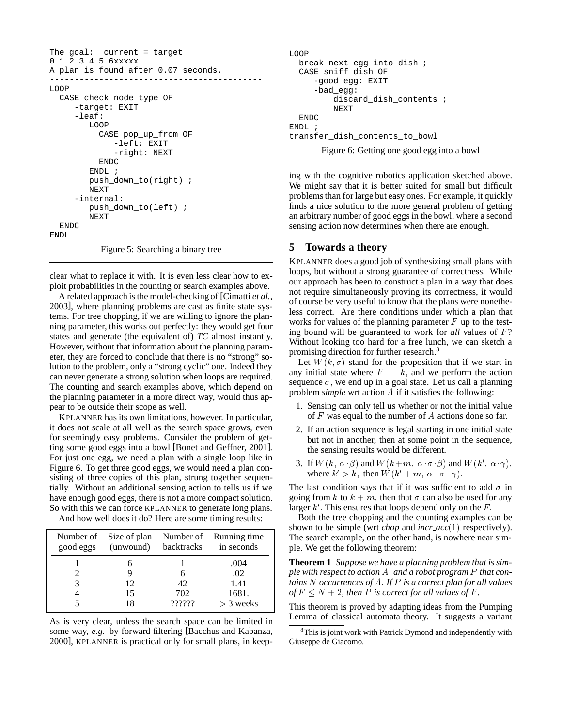```
The goal: current = target
0 1 2 3 4 5 6xxxxx
A plan is found after 0.07 seconds.
    -------------------------------------------
LOOP
  CASE check_node_type OF
     -target: EXIT
     -leaf:
        LOOP
          CASE pop_up_from OF
             -left: EXIT
              -right: NEXT
          ENDC
        ENDL ;
        push_down_to(right) ;
        NEXT
     -internal:
        push_down_to(left) ;
        NEXT
  ENDC
ENDL
           Figure 5: Searching a binary tree
```
clear what to replace it with. It is even less clear how to exploit probabilities in the counting or search examples above.

A related approach is the model-checking of [Cimatti *et al.*, 2003], where planning problems are cast as finite state systems. For tree chopping, if we are willing to ignore the planning parameter, this works out perfectly: they would get four states and generate (the equivalent of) *TC* almost instantly. However, without that information about the planning parameter, they are forced to conclude that there is no "strong" solution to the problem, only a "strong cyclic" one. Indeed they can never generate a strong solution when loops are required. The counting and search examples above, which depend on the planning parameter in a more direct way, would thus appear to be outside their scope as well.

KPLANNER has its own limitations, however. In particular, it does not scale at all well as the search space grows, even for seemingly easy problems. Consider the problem of getting some good eggs into a bowl [Bonet and Geffner, 2001]. For just one egg, we need a plan with a single loop like in Figure 6. To get three good eggs, we would need a plan consisting of three copies of this plan, strung together sequentially. Without an additional sensing action to tells us if we have enough good eggs, there is not a more compact solution. So with this we can force KPLANNER to generate long plans. And how well does it do? Here are some timing results:

| good eggs | (unwound) | backtracks | Number of Size of plan Number of Running time<br>in seconds |
|-----------|-----------|------------|-------------------------------------------------------------|
|           |           |            | .004                                                        |
|           |           |            | .02                                                         |
|           | 12        | 42         | 1.41                                                        |
|           | 15        | 702        | 1681.                                                       |
|           |           | 777777     | $>$ 3 weeks                                                 |

As is very clear, unless the search space can be limited in some way, *e.g.* by forward filtering [Bacchus and Kabanza, 2000], KPLANNER is practical only for small plans, in keep-

```
LOOP
  break_next_egg_into_dish ;
  CASE sniff_dish OF
     -good_egg: EXIT
     -bad_egg:
         discard_dish_contents ;
         NEXT
 ENDC
ENDL:
transfer dish contents to bowl
```
Figure 6: Getting one good egg into a bowl

ing with the cognitive robotics application sketched above. We might say that it is better suited for small but difficult problems than for large but easy ones. For example, it quickly finds a nice solution to the more general problem of getting an arbitrary number of good eggs in the bowl, where a second sensing action now determines when there are enough.

# **5 Towards a theory**

KPLANNER does a good job of synthesizing small plans with loops, but without a strong guarantee of correctness. While our approach has been to construct a plan in a way that does not require simultaneously proving its correctness, it would of course be very useful to know that the plans were nonetheless correct. Are there conditions under which a plan that works for values of the planning parameter  $F$  up to the testing bound will be guaranteed to work for *all* values of F? Without looking too hard for a free lunch, we can sketch a promising direction for further research.8

Let  $W(k, \sigma)$  stand for the proposition that if we start in any initial state where  $F = k$ , and we perform the action sequence  $\sigma$ , we end up in a goal state. Let us call a planning problem *simple* wrt action <sup>A</sup> if it satisfies the following:

- 1. Sensing can only tell us whether or not the initial value of <sup>F</sup> was equal to the number of <sup>A</sup> actions done so far.
- 2. If an action sequence is legal starting in one initial state but not in another, then at some point in the sequence, the sensing results would be different.
- 3. If  $W(k, \alpha \cdot \beta)$  and  $W(k+m, \alpha \cdot \sigma \cdot \beta)$  and  $W(k', \alpha \cdot \gamma)$ , where  $k' > k$ , then  $W(k' + m, \alpha \cdot \sigma \cdot \gamma)$ .

The last condition says that if it was sufficient to add  $\sigma$  in going from k to  $k + m$ , then that  $\sigma$  can also be used for any larger  $k'$ . This ensures that loops depend only on the  $F$ .

Both the tree chopping and the counting examples can be shown to be simple (wrt *chop* and *incr acc*(1) respectively). The search example, on the other hand, is nowhere near simple. We get the following theorem:

**Theorem 1** *Suppose we have a planning problem that is simple with respect to action* A; *and a robot program* <sup>P</sup> *that contains* N *occurrences of*A*. If* P *is a correct plan for all values of*  $F \leq N + 2$ , then P is correct for all values of F.

This theorem is proved by adapting ideas from the Pumping Lemma of classical automata theory. It suggests a variant

<sup>&</sup>lt;sup>8</sup>This is joint work with Patrick Dymond and independently with Giuseppe de Giacomo.